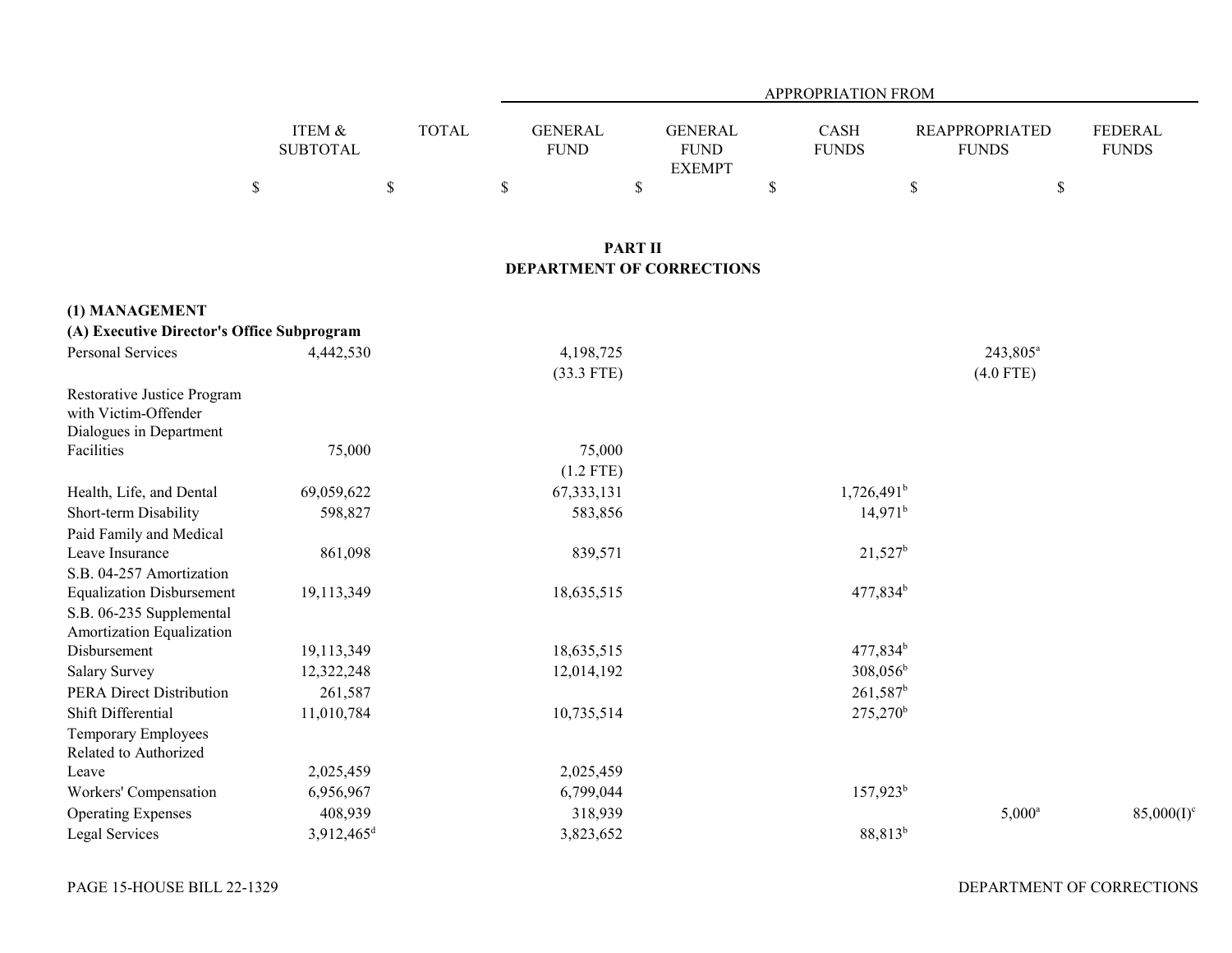|                 |              | <b>APPROPRIATION FROM</b> |               |              |                       |                |  |  |  |
|-----------------|--------------|---------------------------|---------------|--------------|-----------------------|----------------|--|--|--|
|                 |              |                           |               |              |                       |                |  |  |  |
| ITEM &          | <b>TOTAL</b> | <b>GENERAL</b>            | GENERAL       | CASH         | <b>REAPPROPRIATED</b> | <b>FEDERAL</b> |  |  |  |
| <b>SUBTOTAL</b> |              | <b>FUND</b>               | <b>FUND</b>   | <b>FUNDS</b> | <b>FUNDS</b>          | <b>FUNDS</b>   |  |  |  |
|                 |              |                           | <b>EXEMPT</b> |              |                       |                |  |  |  |
|                 |              |                           |               |              |                       |                |  |  |  |

#### **PART II DEPARTMENT OF CORRECTIONS**

| (1) MANAGEMENT                             |                          |              |                      |                      |               |
|--------------------------------------------|--------------------------|--------------|----------------------|----------------------|---------------|
| (A) Executive Director's Office Subprogram |                          |              |                      |                      |               |
| Personal Services                          | 4,442,530                | 4,198,725    |                      | 243,805 <sup>a</sup> |               |
|                                            |                          | $(33.3$ FTE) |                      | $(4.0$ FTE)          |               |
| Restorative Justice Program                |                          |              |                      |                      |               |
| with Victim-Offender                       |                          |              |                      |                      |               |
| Dialogues in Department                    |                          |              |                      |                      |               |
| Facilities                                 | 75,000                   | 75,000       |                      |                      |               |
|                                            |                          | $(1.2$ FTE)  |                      |                      |               |
| Health, Life, and Dental                   | 69,059,622               | 67, 333, 131 | $1,726,491^{\rm b}$  |                      |               |
| Short-term Disability                      | 598,827                  | 583,856      | $14,971^b$           |                      |               |
| Paid Family and Medical                    |                          |              |                      |                      |               |
| Leave Insurance                            | 861,098                  | 839,571      | $21,527^b$           |                      |               |
| S.B. 04-257 Amortization                   |                          |              |                      |                      |               |
| <b>Equalization Disbursement</b>           | 19,113,349               | 18,635,515   | $477,834^b$          |                      |               |
| S.B. 06-235 Supplemental                   |                          |              |                      |                      |               |
| Amortization Equalization                  |                          |              |                      |                      |               |
| Disbursement                               | 19,113,349               | 18,635,515   | 477,834 <sup>b</sup> |                      |               |
| <b>Salary Survey</b>                       | 12,322,248               | 12,014,192   | $308,056^{\rm b}$    |                      |               |
| <b>PERA Direct Distribution</b>            | 261,587                  |              | $261,587^b$          |                      |               |
| Shift Differential                         | 11,010,784               | 10,735,514   | 275,270 <sup>b</sup> |                      |               |
| Temporary Employees                        |                          |              |                      |                      |               |
| Related to Authorized                      |                          |              |                      |                      |               |
| Leave                                      | 2,025,459                | 2,025,459    |                      |                      |               |
| Workers' Compensation                      | 6,956,967                | 6,799,044    | $157,923^b$          |                      |               |
| <b>Operating Expenses</b>                  | 408,939                  | 318,939      |                      | $5,000^{\rm a}$      | $85,000(I)^c$ |
| Legal Services                             | $3,912,465$ <sup>d</sup> | 3,823,652    | 88,813 <sup>b</sup>  |                      |               |

DEPARTMENT OF CORRECTIONS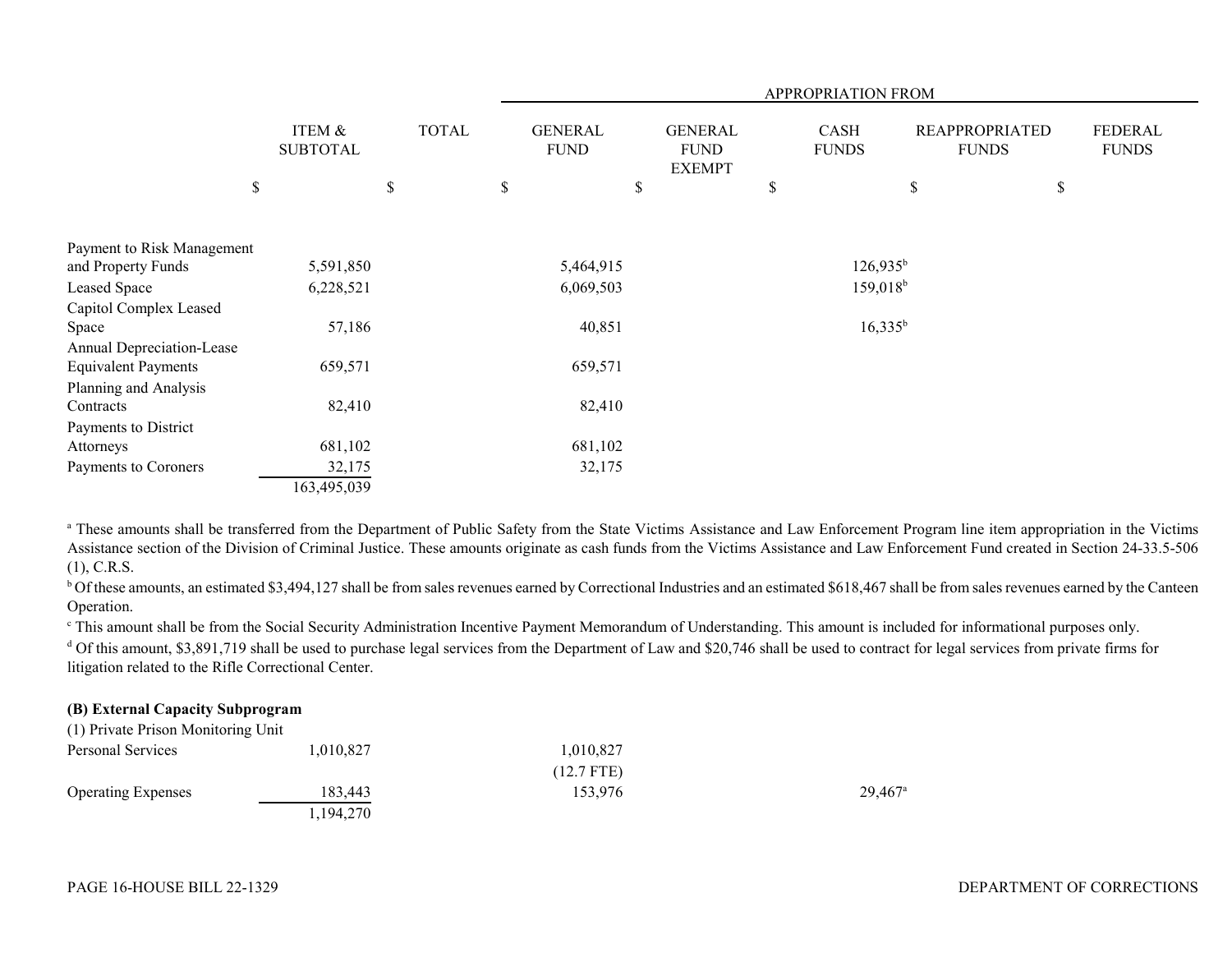|                            |                           |              | APPROPRIATION FROM            |                                                |                      |                                       |                         |
|----------------------------|---------------------------|--------------|-------------------------------|------------------------------------------------|----------------------|---------------------------------------|-------------------------|
|                            | ITEM &<br><b>SUBTOTAL</b> | <b>TOTAL</b> | <b>GENERAL</b><br><b>FUND</b> | <b>GENERAL</b><br><b>FUND</b><br><b>EXEMPT</b> | CASH<br><b>FUNDS</b> | <b>REAPPROPRIATED</b><br><b>FUNDS</b> | FEDERAL<br><b>FUNDS</b> |
| \$                         |                           | \$           | \$                            | \$                                             | \$                   | \$                                    | \$                      |
| Payment to Risk Management |                           |              |                               |                                                |                      |                                       |                         |
| and Property Funds         | 5,591,850                 |              | 5,464,915                     |                                                | $126,935^b$          |                                       |                         |
| Leased Space               | 6,228,521                 |              | 6,069,503                     |                                                | $159,018^b$          |                                       |                         |
| Capitol Complex Leased     |                           |              |                               |                                                |                      |                                       |                         |
| Space                      | 57,186                    |              | 40,851                        |                                                | $16,335^b$           |                                       |                         |
| Annual Depreciation-Lease  |                           |              |                               |                                                |                      |                                       |                         |
| <b>Equivalent Payments</b> | 659,571                   |              | 659,571                       |                                                |                      |                                       |                         |
| Planning and Analysis      |                           |              |                               |                                                |                      |                                       |                         |
| Contracts                  | 82,410                    |              | 82,410                        |                                                |                      |                                       |                         |
| Payments to District       |                           |              |                               |                                                |                      |                                       |                         |
| Attorneys                  | 681,102                   |              | 681,102                       |                                                |                      |                                       |                         |
| Payments to Coroners       | 32,175                    |              | 32,175                        |                                                |                      |                                       |                         |
|                            | 163,495,039               |              |                               |                                                |                      |                                       |                         |

<sup>a</sup> These amounts shall be transferred from the Department of Public Safety from the State Victims Assistance and Law Enforcement Program line item appropriation in the Victims Assistance section of the Division of Criminal Justice. These amounts originate as cash funds from the Victims Assistance and Law Enforcement Fund created in Section 24-33.5-506 (1), C.R.S.

<sup>b</sup> Of these amounts, an estimated \$3,494,127 shall be from sales revenues earned by Correctional Industries and an estimated \$618,467 shall be from sales revenues earned by the Canteen Operation.

c This amount shall be from the Social Security Administration Incentive Payment Memorandum of Understanding. This amount is included for informational purposes only.

 $^{\text{d}}$  Of this amount, \$3,891,719 shall be used to purchase legal services from the Department of Law and \$20,746 shall be used to contract for legal services from private firms for litigation related to the Rifle Correctional Center.

#### **(B) External Capacity Subprogram**  $(1)$  Private Prior Monitoring Unitoring Unitoring Unitoring Unitoring Unitoring Unitoring Unitoring Unitoring Unitoring Unitoring Unitoring Unitoring Unitoring Unitoring Unitoring Unitoring Unitoring Unitoring Unitoring

| (1) Private Prison Monitoring Unit |           |              |                       |
|------------------------------------|-----------|--------------|-----------------------|
| Personal Services                  | 1,010,827 | 1.010.827    |                       |
|                                    |           | $(12.7$ FTE) |                       |
| <b>Operating Expenses</b>          | 183.443   | 153,976      | $29,467$ <sup>a</sup> |
|                                    | 1,194,270 |              |                       |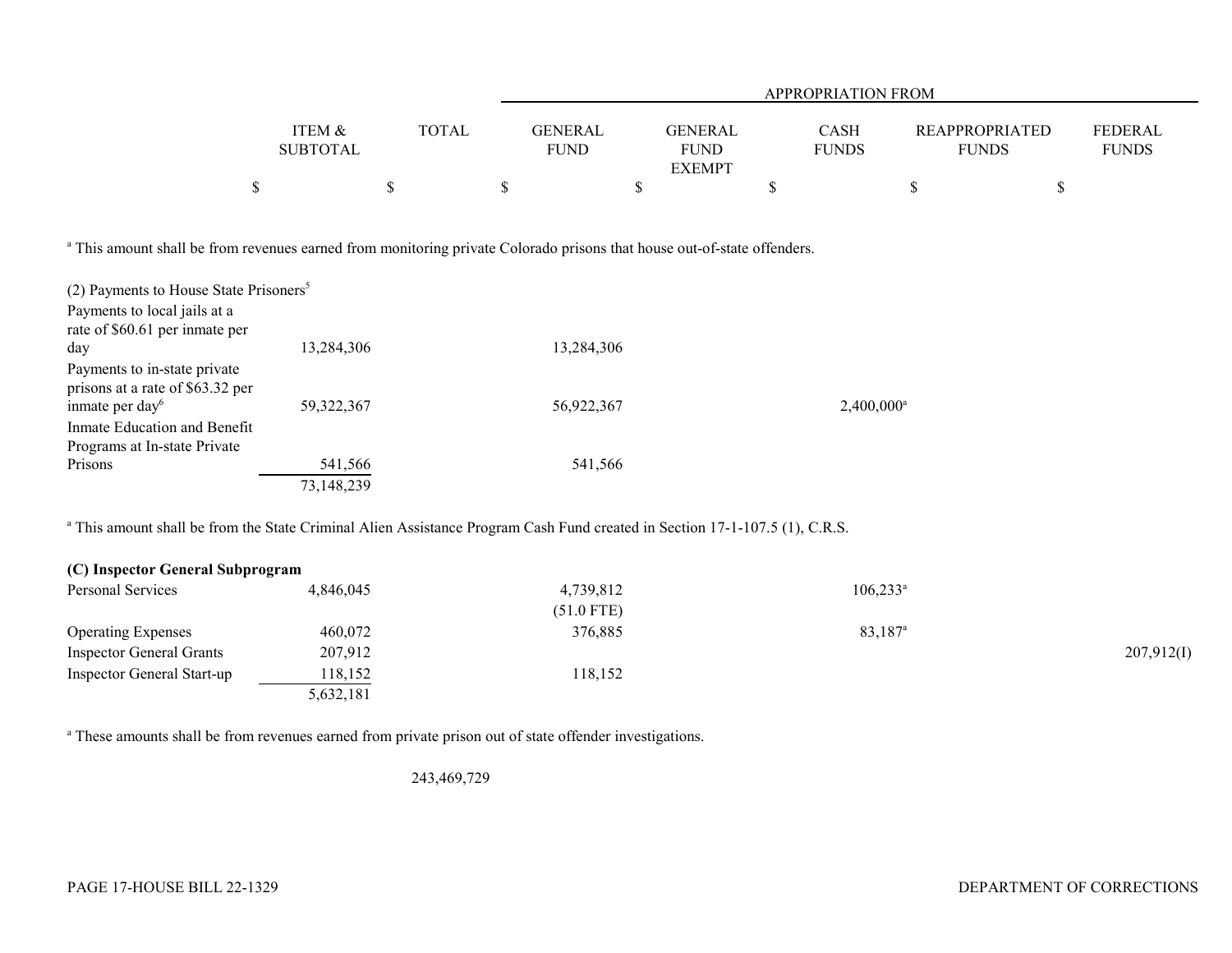|                 |              | APPROPRIATION FROM |                |              |                       |                |  |  |  |
|-----------------|--------------|--------------------|----------------|--------------|-----------------------|----------------|--|--|--|
|                 |              |                    |                |              |                       |                |  |  |  |
| ITEM &          | <b>TOTAL</b> | <b>GENERAL</b>     | <b>GENERAL</b> | <b>CASH</b>  | <b>REAPPROPRIATED</b> | <b>FEDERAL</b> |  |  |  |
| <b>SUBTOTAL</b> |              | <b>FUND</b>        | <b>FUND</b>    | <b>FUNDS</b> | <b>FUNDS</b>          | <b>FUNDS</b>   |  |  |  |
|                 |              |                    | <b>EXEMPT</b>  |              |                       |                |  |  |  |
|                 |              |                    |                |              |                       |                |  |  |  |

<sup>a</sup> This amount shall be from revenues earned from monitoring private Colorado prisons that house out-of-state offenders.

| (2) Payments to House State Prisoners <sup>5</sup> |              |            |                     |
|----------------------------------------------------|--------------|------------|---------------------|
| Payments to local jails at a                       |              |            |                     |
| rate of \$60.61 per inmate per                     |              |            |                     |
| day                                                | 13,284,306   | 13,284,306 |                     |
| Payments to in-state private                       |              |            |                     |
| prisons at a rate of \$63.32 per                   |              |            |                     |
| inmate per day <sup>6</sup>                        | 59, 322, 367 | 56,922,367 | $2,400,000^{\circ}$ |
| Inmate Education and Benefit                       |              |            |                     |
| Programs at In-state Private                       |              |            |                     |
| Prisons                                            | 541,566      | 541,566    |                     |
|                                                    | 73,148,239   |            |                     |

<sup>a</sup> This amount shall be from the State Criminal Alien Assistance Program Cash Fund created in Section 17-1-107.5 (1), C.R.S.

| (C) Inspector General Subprogram |           |              |                     |            |
|----------------------------------|-----------|--------------|---------------------|------------|
| Personal Services                | 4,846,045 | 4,739,812    | $106,233^{\circ}$   |            |
|                                  |           | $(51.0$ FTE) |                     |            |
| <b>Operating Expenses</b>        | 460,072   | 376,885      | 83,187 <sup>a</sup> |            |
| <b>Inspector General Grants</b>  | 207,912   |              |                     | 207,912(I) |
| Inspector General Start-up       | 118,152   | 118,152      |                     |            |
|                                  | 5,632,181 |              |                     |            |

<sup>a</sup> These amounts shall be from revenues earned from private prison out of state offender investigations.

243,469,729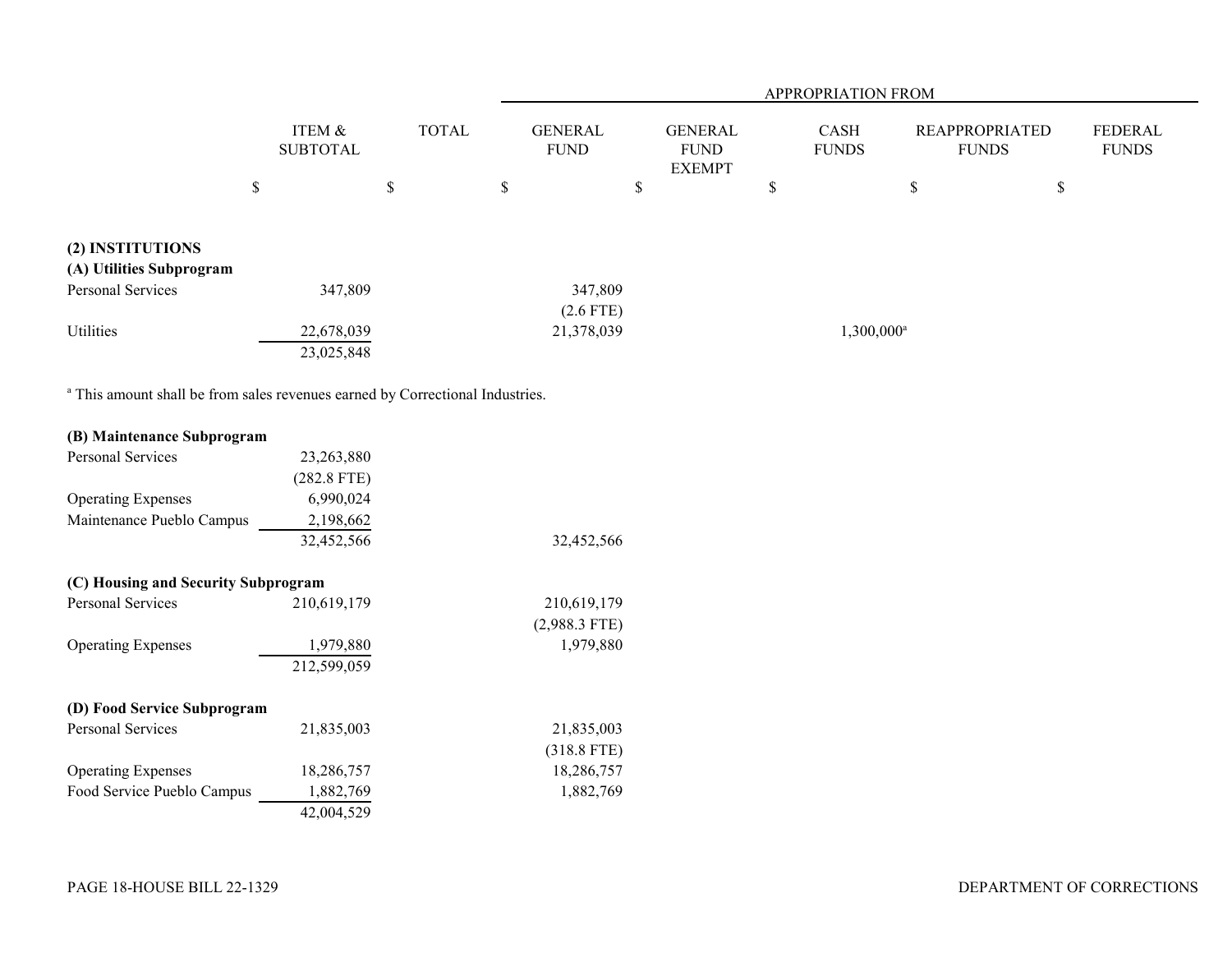|                                                                                          |                           |              |                               |                                                | APPROPRIATION FROM   |                                       |                                |
|------------------------------------------------------------------------------------------|---------------------------|--------------|-------------------------------|------------------------------------------------|----------------------|---------------------------------------|--------------------------------|
|                                                                                          | ITEM &<br><b>SUBTOTAL</b> | <b>TOTAL</b> | <b>GENERAL</b><br><b>FUND</b> | <b>GENERAL</b><br><b>FUND</b><br><b>EXEMPT</b> | CASH<br><b>FUNDS</b> | <b>REAPPROPRIATED</b><br><b>FUNDS</b> | <b>FEDERAL</b><br><b>FUNDS</b> |
|                                                                                          | $\$$                      | $\mathbb{S}$ | $\mathbb S$                   | $\mathbb S$                                    | \$                   | $\mathbb S$                           | $\mathbb S$                    |
| (2) INSTITUTIONS                                                                         |                           |              |                               |                                                |                      |                                       |                                |
| (A) Utilities Subprogram                                                                 |                           |              |                               |                                                |                      |                                       |                                |
| <b>Personal Services</b>                                                                 | 347,809                   |              | 347,809                       |                                                |                      |                                       |                                |
| Utilities                                                                                | 22,678,039<br>23,025,848  |              | $(2.6$ FTE)<br>21,378,039     |                                                |                      | $1,300,000^{\rm a}$                   |                                |
| <sup>a</sup> This amount shall be from sales revenues earned by Correctional Industries. |                           |              |                               |                                                |                      |                                       |                                |
| (B) Maintenance Subprogram                                                               |                           |              |                               |                                                |                      |                                       |                                |
| <b>Personal Services</b>                                                                 | 23,263,880                |              |                               |                                                |                      |                                       |                                |
|                                                                                          | $(282.8$ FTE)             |              |                               |                                                |                      |                                       |                                |
| <b>Operating Expenses</b>                                                                | 6,990,024                 |              |                               |                                                |                      |                                       |                                |
| Maintenance Pueblo Campus                                                                | 2,198,662                 |              |                               |                                                |                      |                                       |                                |
|                                                                                          | 32,452,566                |              | 32,452,566                    |                                                |                      |                                       |                                |
| (C) Housing and Security Subprogram                                                      |                           |              |                               |                                                |                      |                                       |                                |
| Personal Services                                                                        | 210,619,179               |              | 210,619,179                   |                                                |                      |                                       |                                |
|                                                                                          |                           |              | $(2,988.3$ FTE)               |                                                |                      |                                       |                                |
| <b>Operating Expenses</b>                                                                | 1,979,880                 |              | 1,979,880                     |                                                |                      |                                       |                                |
|                                                                                          | 212,599,059               |              |                               |                                                |                      |                                       |                                |
| (D) Food Service Subprogram                                                              |                           |              |                               |                                                |                      |                                       |                                |
| Personal Services                                                                        | 21,835,003                |              | 21,835,003                    |                                                |                      |                                       |                                |
|                                                                                          |                           |              | $(318.8$ FTE)                 |                                                |                      |                                       |                                |
| <b>Operating Expenses</b>                                                                | 18,286,757                |              | 18,286,757                    |                                                |                      |                                       |                                |
| Food Service Pueblo Campus                                                               | 1,882,769                 |              | 1,882,769                     |                                                |                      |                                       |                                |

42,004,529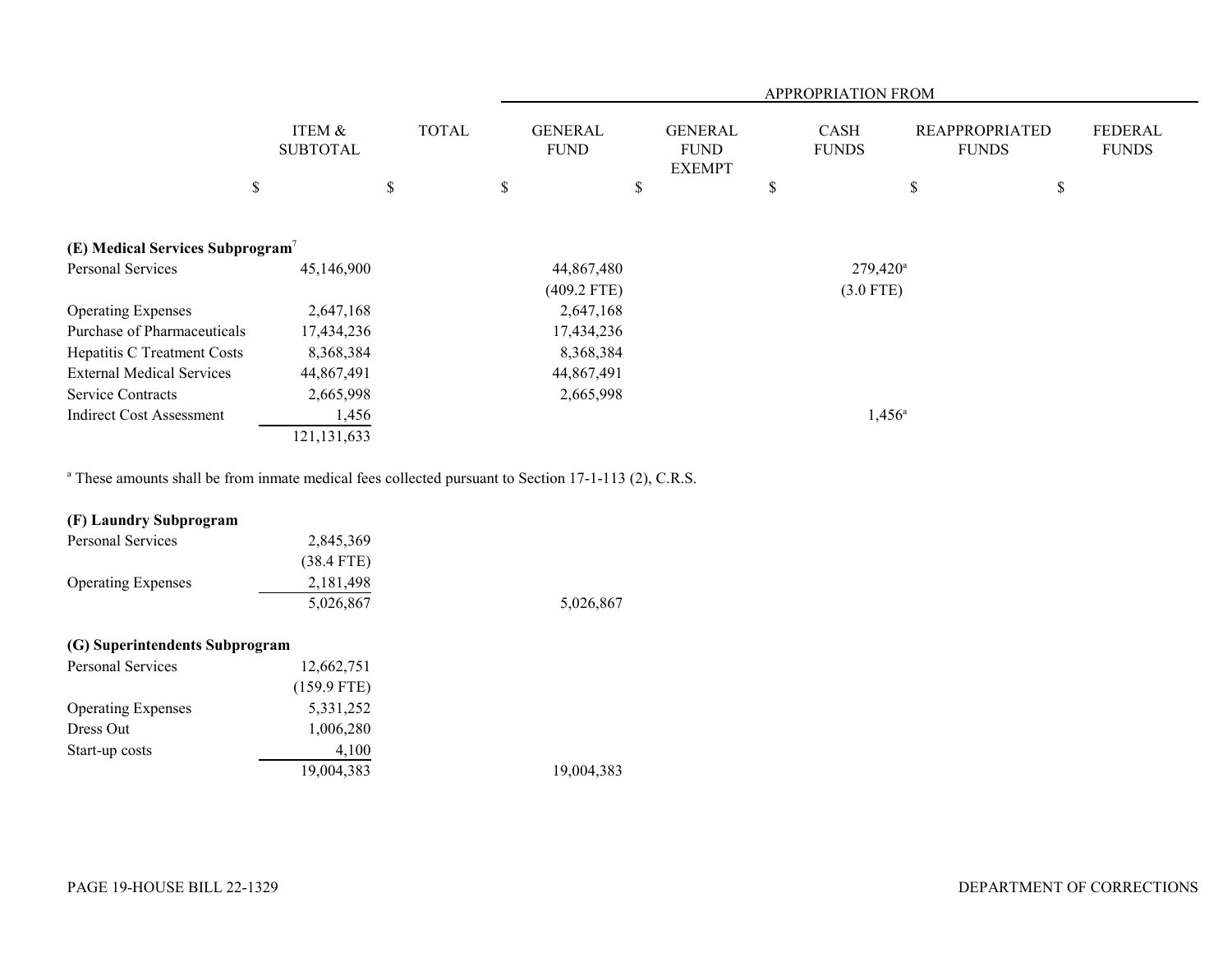|                                              |                           |              | APPROPRIATION FROM            |                                                |                             |                   |                                       |                                |
|----------------------------------------------|---------------------------|--------------|-------------------------------|------------------------------------------------|-----------------------------|-------------------|---------------------------------------|--------------------------------|
|                                              | ITEM &<br><b>SUBTOTAL</b> | <b>TOTAL</b> | <b>GENERAL</b><br><b>FUND</b> | <b>GENERAL</b><br><b>FUND</b><br><b>EXEMPT</b> | <b>CASH</b><br><b>FUNDS</b> |                   | <b>REAPPROPRIATED</b><br><b>FUNDS</b> | <b>FEDERAL</b><br><b>FUNDS</b> |
|                                              | \$                        | \$           | \$                            | \$                                             | S                           | \$                | \$                                    |                                |
| (E) Medical Services Subprogram <sup>7</sup> |                           |              |                               |                                                |                             |                   |                                       |                                |
| Personal Services                            | 45,146,900                |              | 44,867,480                    |                                                |                             | $279,420^{\circ}$ |                                       |                                |
|                                              |                           |              | $(409.2$ FTE)                 |                                                |                             | $(3.0$ FTE)       |                                       |                                |
| <b>Operating Expenses</b>                    | 2,647,168                 |              | 2,647,168                     |                                                |                             |                   |                                       |                                |
| Purchase of Pharmaceuticals                  | 17,434,236                |              | 17,434,236                    |                                                |                             |                   |                                       |                                |
| Hepatitis C Treatment Costs                  | 8,368,384                 |              | 8,368,384                     |                                                |                             |                   |                                       |                                |
| <b>External Medical Services</b>             | 44,867,491                |              | 44,867,491                    |                                                |                             |                   |                                       |                                |
| Service Contracts                            | 2,665,998                 |              | 2,665,998                     |                                                |                             |                   |                                       |                                |
| <b>Indirect Cost Assessment</b>              | 1,456                     |              |                               |                                                |                             | $1,456^{\circ}$   |                                       |                                |
|                                              | 121,131,633               |              |                               |                                                |                             |                   |                                       |                                |

<sup>a</sup> These amounts shall be from inmate medical fees collected pursuant to Section 17-1-113 (2), C.R.S.

# **(F) Laundry Subprogram**

| Personal Services         | 2,845,369    |           |
|---------------------------|--------------|-----------|
|                           | $(38.4$ FTE) |           |
| <b>Operating Expenses</b> | 2, 181, 498  |           |
|                           | 5,026,867    | 5,026,867 |

## **(G) Superintendents Subprogram**

| Personal Services         | 12,662,751    |            |
|---------------------------|---------------|------------|
|                           | $(159.9$ FTE) |            |
| <b>Operating Expenses</b> | 5,331,252     |            |
| Dress Out                 | 1,006,280     |            |
| Start-up costs            | 4,100         |            |
|                           | 19,004,383    | 19,004,383 |
|                           |               |            |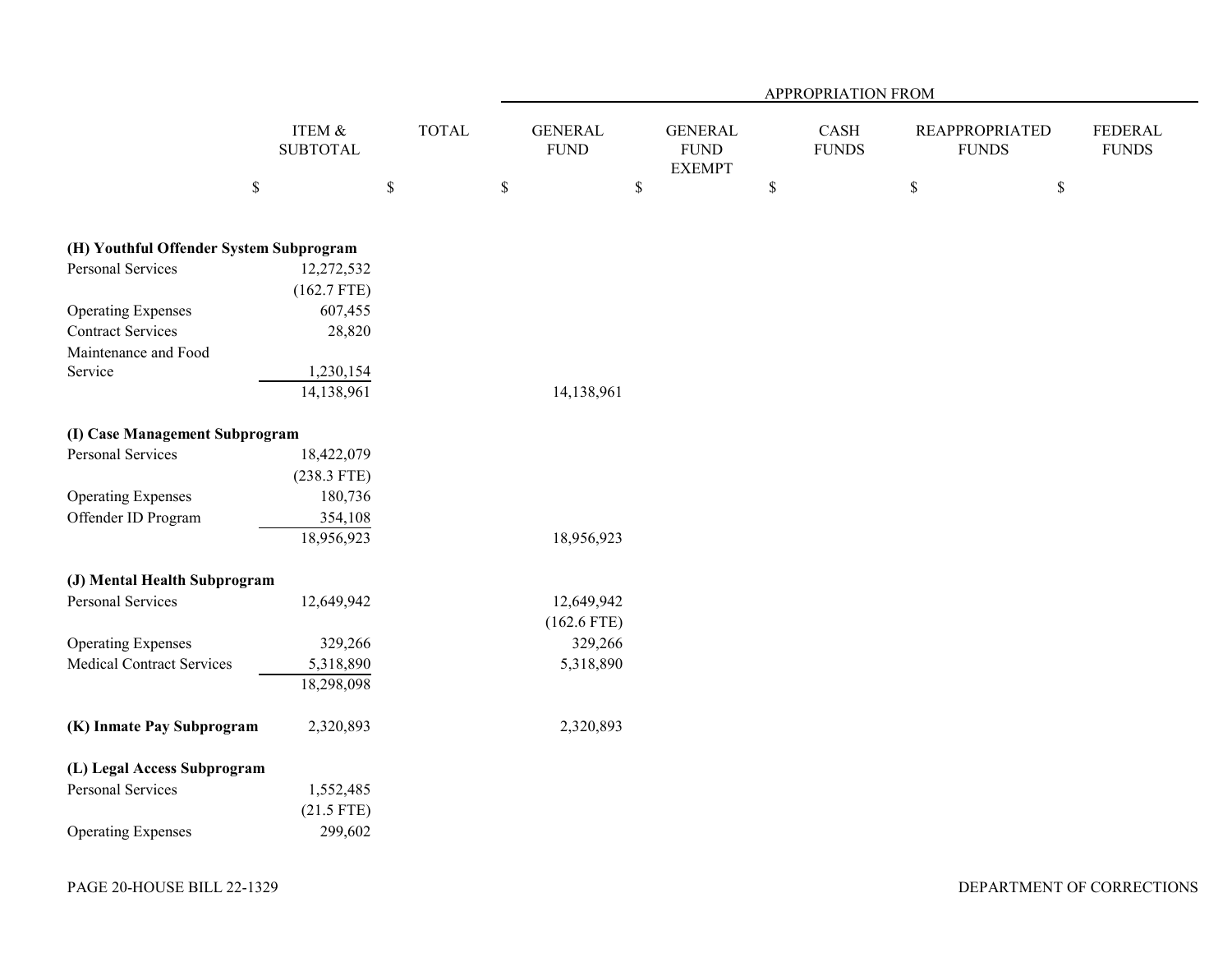|                                         |                           |              |                               |                                                | APPROPRIATION FROM   |                                       |                                |
|-----------------------------------------|---------------------------|--------------|-------------------------------|------------------------------------------------|----------------------|---------------------------------------|--------------------------------|
|                                         | ITEM &<br><b>SUBTOTAL</b> | <b>TOTAL</b> | <b>GENERAL</b><br><b>FUND</b> | <b>GENERAL</b><br><b>FUND</b><br><b>EXEMPT</b> | CASH<br><b>FUNDS</b> | <b>REAPPROPRIATED</b><br><b>FUNDS</b> | <b>FEDERAL</b><br><b>FUNDS</b> |
|                                         | $\mathbb S$               | $\mathbb S$  | $\mathbb S$<br>$\$$           |                                                | $\$$                 | $\mathbb S$<br>$\$$                   |                                |
| (H) Youthful Offender System Subprogram |                           |              |                               |                                                |                      |                                       |                                |
| <b>Personal Services</b>                | 12,272,532                |              |                               |                                                |                      |                                       |                                |
|                                         | $(162.7$ FTE)             |              |                               |                                                |                      |                                       |                                |
| <b>Operating Expenses</b>               | 607,455                   |              |                               |                                                |                      |                                       |                                |
| <b>Contract Services</b>                | 28,820                    |              |                               |                                                |                      |                                       |                                |
| Maintenance and Food                    |                           |              |                               |                                                |                      |                                       |                                |
| Service                                 | 1,230,154                 |              |                               |                                                |                      |                                       |                                |
|                                         | 14,138,961                |              | 14,138,961                    |                                                |                      |                                       |                                |
| (I) Case Management Subprogram          |                           |              |                               |                                                |                      |                                       |                                |
| Personal Services                       | 18,422,079                |              |                               |                                                |                      |                                       |                                |
|                                         | $(238.3$ FTE)             |              |                               |                                                |                      |                                       |                                |
| <b>Operating Expenses</b>               | 180,736                   |              |                               |                                                |                      |                                       |                                |
| Offender ID Program                     | 354,108                   |              |                               |                                                |                      |                                       |                                |
|                                         | 18,956,923                |              | 18,956,923                    |                                                |                      |                                       |                                |
| (J) Mental Health Subprogram            |                           |              |                               |                                                |                      |                                       |                                |
| Personal Services                       | 12,649,942                |              | 12,649,942                    |                                                |                      |                                       |                                |
|                                         |                           |              | $(162.6$ FTE)                 |                                                |                      |                                       |                                |
| <b>Operating Expenses</b>               | 329,266                   |              | 329,266                       |                                                |                      |                                       |                                |
| <b>Medical Contract Services</b>        | 5,318,890                 |              | 5,318,890                     |                                                |                      |                                       |                                |
|                                         | 18,298,098                |              |                               |                                                |                      |                                       |                                |
| (K) Inmate Pay Subprogram               | 2,320,893                 |              | 2,320,893                     |                                                |                      |                                       |                                |
| (L) Legal Access Subprogram             |                           |              |                               |                                                |                      |                                       |                                |
| Personal Services                       | 1,552,485                 |              |                               |                                                |                      |                                       |                                |
|                                         | $(21.5$ FTE)              |              |                               |                                                |                      |                                       |                                |
| <b>Operating Expenses</b>               | 299,602                   |              |                               |                                                |                      |                                       |                                |
|                                         |                           |              |                               |                                                |                      |                                       |                                |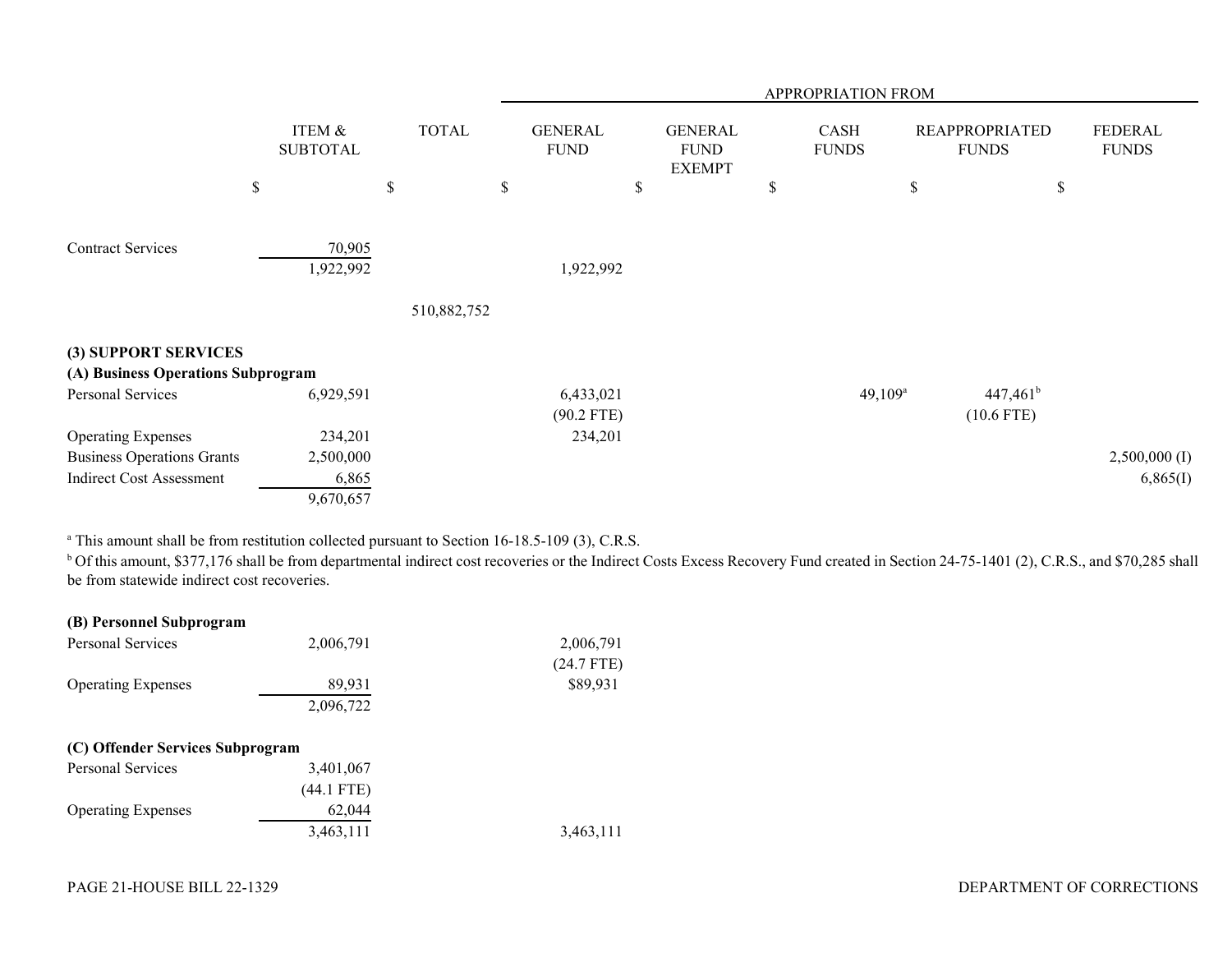|                                    |                           |        |              | APPROPRIATION FROM            |    |                                                |    |                      |    |                                       |                                |
|------------------------------------|---------------------------|--------|--------------|-------------------------------|----|------------------------------------------------|----|----------------------|----|---------------------------------------|--------------------------------|
|                                    | ITEM &<br><b>SUBTOTAL</b> |        | <b>TOTAL</b> | <b>GENERAL</b><br><b>FUND</b> |    | <b>GENERAL</b><br><b>FUND</b><br><b>EXEMPT</b> |    | CASH<br><b>FUNDS</b> |    | <b>REAPPROPRIATED</b><br><b>FUNDS</b> | <b>FEDERAL</b><br><b>FUNDS</b> |
|                                    | $\$$                      | \$     | \$           |                               | \$ |                                                | \$ |                      | \$ | $\$$                                  |                                |
| <b>Contract Services</b>           | 1,922,992                 | 70,905 | 510,882,752  | 1,922,992                     |    |                                                |    |                      |    |                                       |                                |
| (3) SUPPORT SERVICES               |                           |        |              |                               |    |                                                |    |                      |    |                                       |                                |
| (A) Business Operations Subprogram |                           |        |              |                               |    |                                                |    |                      |    |                                       |                                |
| Personal Services                  | 6,929,591                 |        |              | 6,433,021<br>$(90.2$ FTE)     |    |                                                |    | $49,109^a$           |    | $447,461^b$<br>$(10.6$ FTE)           |                                |
| <b>Operating Expenses</b>          | 234,201                   |        |              | 234,201                       |    |                                                |    |                      |    |                                       |                                |
| <b>Business Operations Grants</b>  | 2,500,000                 |        |              |                               |    |                                                |    |                      |    |                                       | $2,500,000$ (I)                |
| <b>Indirect Cost Assessment</b>    | 9,670,657                 | 6,865  |              |                               |    |                                                |    |                      |    |                                       | 6,865(I)                       |

<sup>a</sup> This amount shall be from restitution collected pursuant to Section 16-18.5-109 (3), C.R.S.

<sup>b</sup> Of this amount, \$377,176 shall be from departmental indirect cost recoveries or the Indirect Costs Excess Recovery Fund created in Section 24-75-1401 (2), C.R.S., and \$70,285 shall be from statewide indirect cost recoveries.

| (B) Personnel Subprogram         |            |              |
|----------------------------------|------------|--------------|
| <b>Personal Services</b>         | 2,006,791  | 2,006,791    |
|                                  |            | $(24.7$ FTE) |
| <b>Operating Expenses</b>        | 89,931     | \$89,931     |
|                                  | 2,096,722  |              |
|                                  |            |              |
| (C) Offender Services Subprogram |            |              |
| <b>Personal Services</b>         | 3,401,067  |              |
|                                  | (44.1 FTE) |              |
| <b>Operating Expenses</b>        | 62,044     |              |
|                                  | 3,463,111  | 3,463,111    |
|                                  |            |              |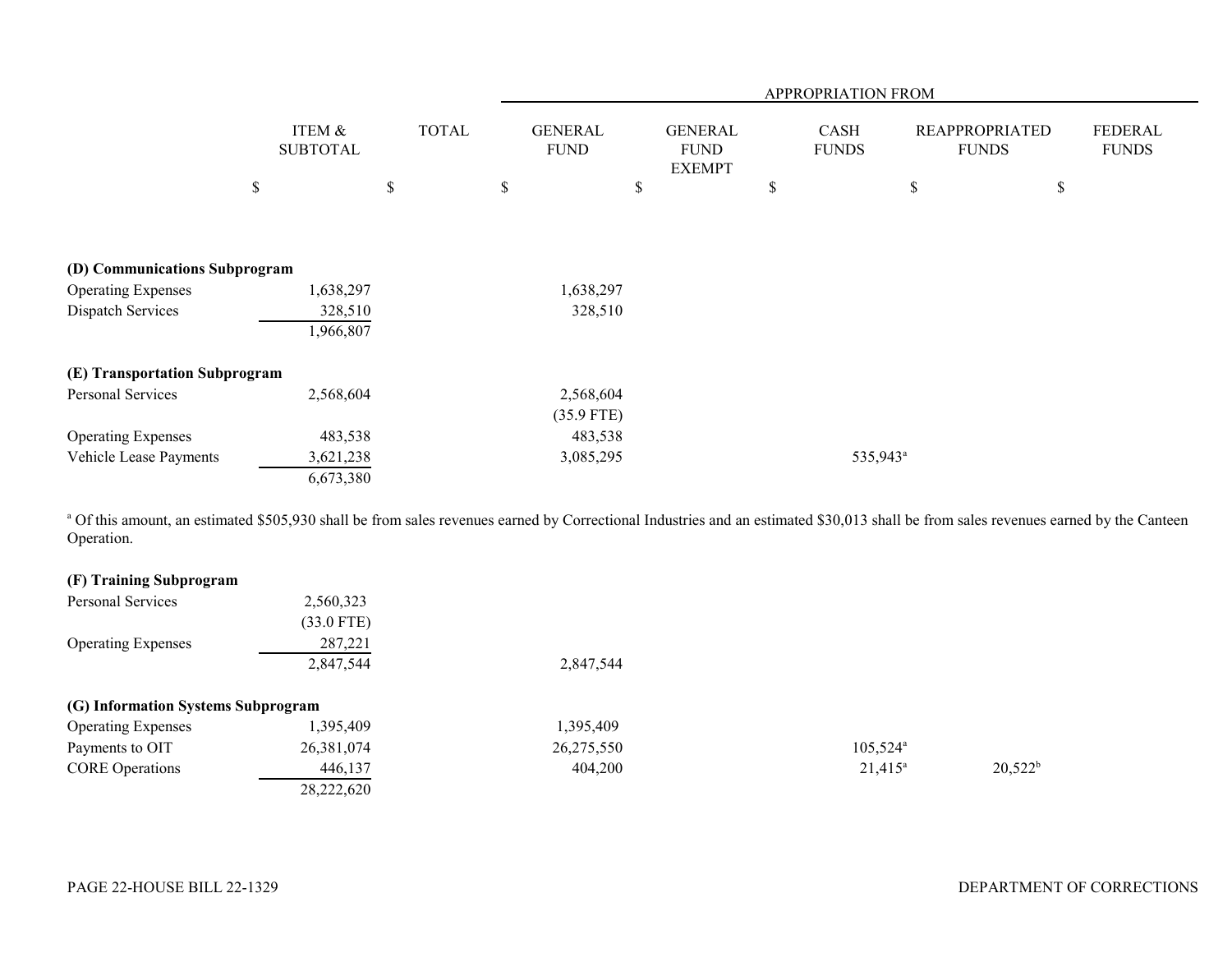|                               |                                      | APPROPRIATION FROM |                               |                                                |                             |                                       |                         |
|-------------------------------|--------------------------------------|--------------------|-------------------------------|------------------------------------------------|-----------------------------|---------------------------------------|-------------------------|
|                               | <b>ITEM &amp;</b><br><b>SUBTOTAL</b> | <b>TOTAL</b>       | <b>GENERAL</b><br><b>FUND</b> | <b>GENERAL</b><br><b>FUND</b><br><b>EXEMPT</b> | <b>CASH</b><br><b>FUNDS</b> | <b>REAPPROPRIATED</b><br><b>FUNDS</b> | FEDERAL<br><b>FUNDS</b> |
|                               | \$                                   | \$                 | \$<br>\$                      |                                                | \$                          | \$                                    | \$                      |
|                               |                                      |                    |                               |                                                |                             |                                       |                         |
| (D) Communications Subprogram |                                      |                    |                               |                                                |                             |                                       |                         |
| <b>Operating Expenses</b>     | 1,638,297                            |                    | 1,638,297                     |                                                |                             |                                       |                         |
| Dispatch Services             | 328,510<br>1,966,807                 |                    | 328,510                       |                                                |                             |                                       |                         |
| (E) Transportation Subprogram |                                      |                    |                               |                                                |                             |                                       |                         |
| Personal Services             | 2,568,604                            |                    | 2,568,604                     |                                                |                             |                                       |                         |
|                               |                                      |                    | $(35.9$ FTE)                  |                                                |                             |                                       |                         |
| <b>Operating Expenses</b>     | 483,538                              |                    | 483,538                       |                                                |                             |                                       |                         |
| Vehicle Lease Payments        | 3,621,238                            |                    | 3,085,295                     |                                                | 535,943 <sup>a</sup>        |                                       |                         |
|                               | 6,673,380                            |                    |                               |                                                |                             |                                       |                         |

<sup>a</sup> Of this amount, an estimated \$505,930 shall be from sales revenues earned by Correctional Industries and an estimated \$30,013 shall be from sales revenues earned by the Canteen Operation.

| (F) Training Subprogram            |              |            |                        |            |
|------------------------------------|--------------|------------|------------------------|------------|
| Personal Services                  | 2,560,323    |            |                        |            |
|                                    | $(33.0$ FTE) |            |                        |            |
| <b>Operating Expenses</b>          | 287,221      |            |                        |            |
|                                    | 2,847,544    | 2,847,544  |                        |            |
| (G) Information Systems Subprogram |              |            |                        |            |
| <b>Operating Expenses</b>          | ,395,409     | 1,395,409  |                        |            |
| Payments to OIT                    | 26,381,074   | 26,275,550 | $105,524$ <sup>a</sup> |            |
| <b>CORE</b> Operations             | 446,137      | 404,200    | $21,415^{\circ}$       | $20,522^b$ |
|                                    | 28,222,620   |            |                        |            |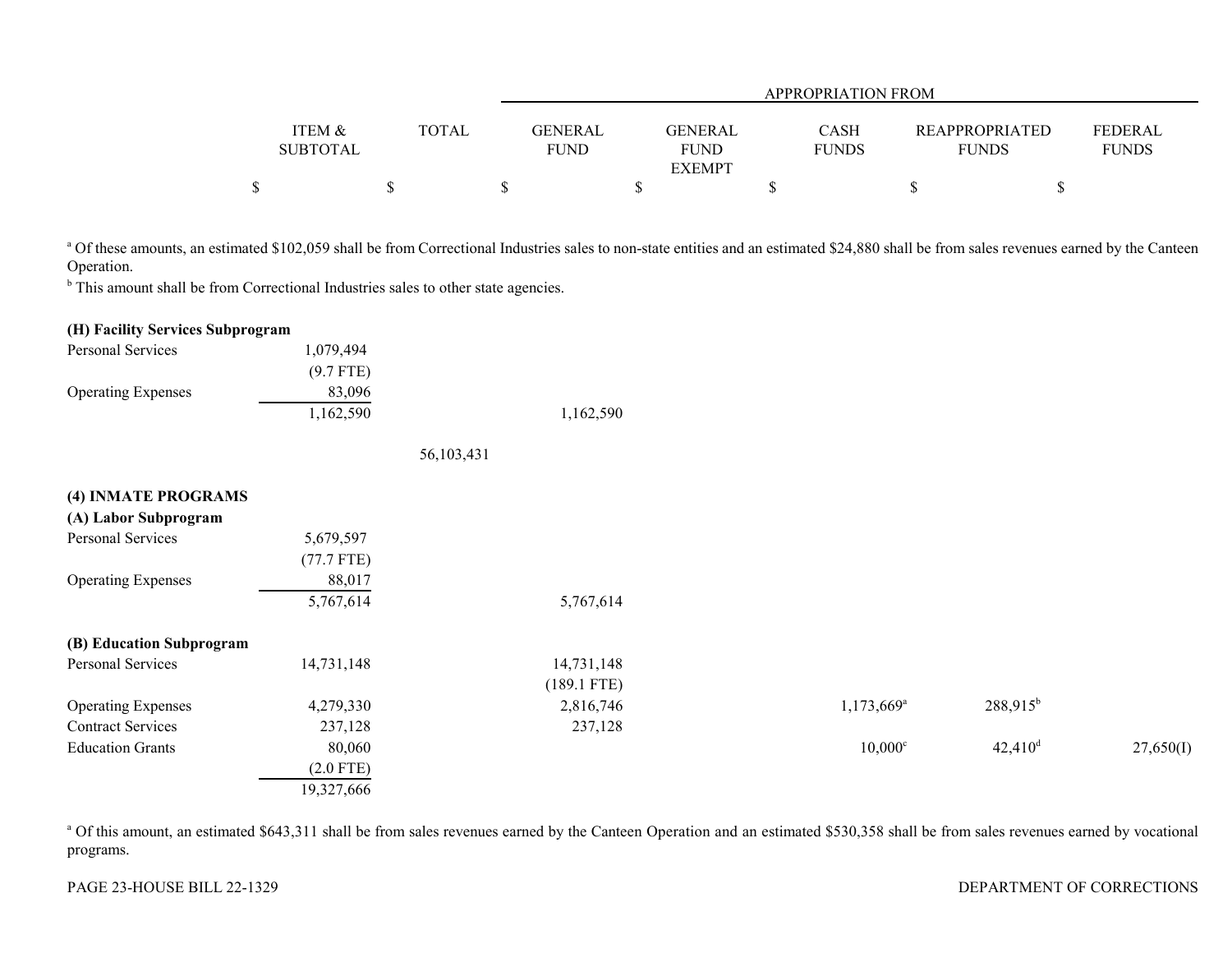|                 |              |             | <b>APPROPRIATION FROM</b> |              |                       |                |  |  |  |
|-----------------|--------------|-------------|---------------------------|--------------|-----------------------|----------------|--|--|--|
|                 |              |             |                           |              |                       |                |  |  |  |
| ITEM &          | <b>TOTAL</b> | GENERAL     | GENERAL                   | <b>CASH</b>  | <b>REAPPROPRIATED</b> | <b>FEDERAL</b> |  |  |  |
| <b>SUBTOTAL</b> |              | <b>FUND</b> | <b>FUND</b>               | <b>FUNDS</b> | <b>FUNDS</b>          | <b>FUNDS</b>   |  |  |  |
|                 |              |             | <b>EXEMPT</b>             |              |                       |                |  |  |  |
|                 |              |             |                           |              |                       |                |  |  |  |

<sup>a</sup> Of these amounts, an estimated \$102,059 shall be from Correctional Industries sales to non-state entities and an estimated \$24,880 shall be from sales revenues earned by the Canteen Operation.

<sup>b</sup> This amount shall be from Correctional Industries sales to other state agencies.

#### **(H) Facility Services Subprogram**

| Personal Services         | 1.079.494   |           |
|---------------------------|-------------|-----------|
|                           | $(9.7$ FTE) |           |
| <b>Operating Expenses</b> | 83,096      |           |
|                           | 1,162,590   | 1,162,590 |

56,103,431

| (4) INMATE PROGRAMS       |              |               |                          |                       |           |
|---------------------------|--------------|---------------|--------------------------|-----------------------|-----------|
| (A) Labor Subprogram      |              |               |                          |                       |           |
| Personal Services         | 5,679,597    |               |                          |                       |           |
|                           | $(77.7$ FTE) |               |                          |                       |           |
| <b>Operating Expenses</b> | 88,017       |               |                          |                       |           |
|                           | 5,767,614    | 5,767,614     |                          |                       |           |
| (B) Education Subprogram  |              |               |                          |                       |           |
| Personal Services         | 14,731,148   | 14,731,148    |                          |                       |           |
|                           |              | $(189.1$ FTE) |                          |                       |           |
| <b>Operating Expenses</b> | 4,279,330    | 2,816,746     | $1,173,669$ <sup>a</sup> | $288,915^b$           |           |
| <b>Contract Services</b>  | 237,128      | 237,128       |                          |                       |           |
| <b>Education Grants</b>   | 80,060       |               | $10,000$ c               | $42,410$ <sup>d</sup> | 27,650(I) |
|                           | $(2.0$ FTE)  |               |                          |                       |           |
|                           | 19,327,666   |               |                          |                       |           |

<sup>a</sup> Of this amount, an estimated \$643,311 shall be from sales revenues earned by the Canteen Operation and an estimated \$530,358 shall be from sales revenues earned by vocational programs.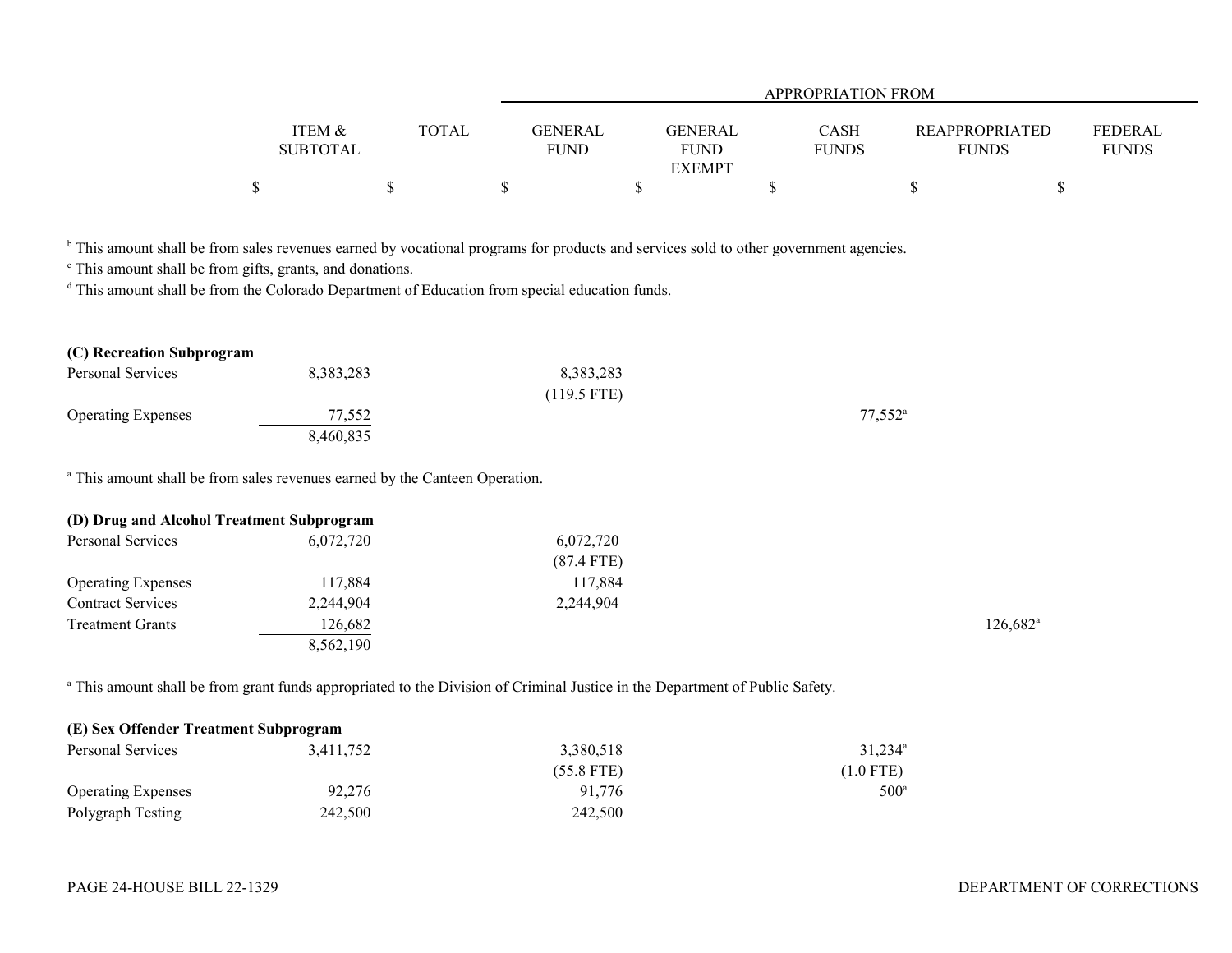|                 |       | APPROPRIATION FROM |                |              |                       |                |  |  |
|-----------------|-------|--------------------|----------------|--------------|-----------------------|----------------|--|--|
| ITEM &          | TOTAL | <b>GENERAL</b>     | <b>GENERAL</b> | <b>CASH</b>  | <b>REAPPROPRIATED</b> | <b>FEDERAL</b> |  |  |
| <b>SUBTOTAL</b> |       | <b>FUND</b>        | <b>FUND</b>    | <b>FUNDS</b> | <b>FUNDS</b>          | <b>FUNDS</b>   |  |  |
|                 |       |                    | <b>EXEMPT</b>  |              |                       |                |  |  |
|                 |       |                    |                |              |                       |                |  |  |

<sup>b</sup> This amount shall be from sales revenues earned by vocational programs for products and services sold to other government agencies.

c This amount shall be from gifts, grants, and donations.

<sup>d</sup> This amount shall be from the Colorado Department of Education from special education funds.

| (C) Recreation Subprogram |           |               |                  |
|---------------------------|-----------|---------------|------------------|
| Personal Services         | 8,383,283 | 8,383,283     |                  |
|                           |           | $(119.5$ FTE) |                  |
| <b>Operating Expenses</b> | 77,552    |               | $77.552^{\circ}$ |
|                           | 8,460,835 |               |                  |

a This amount shall be from sales revenues earned by the Canteen Operation.

| (D) Drug and Alcohol Treatment Subprogram |           |              |                   |
|-------------------------------------------|-----------|--------------|-------------------|
| Personal Services                         | 6.072.720 | 6,072,720    |                   |
|                                           |           | $(87.4$ FTE) |                   |
| <b>Operating Expenses</b>                 | 117,884   | 117,884      |                   |
| <b>Contract Services</b>                  | 2,244,904 | 2,244,904    |                   |
| <b>Treatment Grants</b>                   | 126,682   |              | $126,682^{\circ}$ |
|                                           | 8,562,190 |              |                   |

<sup>a</sup> This amount shall be from grant funds appropriated to the Division of Criminal Justice in the Department of Public Safety.

| (E) Sex Offender Treatment Subprogram |           |              |                     |  |  |  |  |
|---------------------------------------|-----------|--------------|---------------------|--|--|--|--|
| Personal Services                     | 3.411.752 | 3,380,518    | 31.234 <sup>a</sup> |  |  |  |  |
|                                       |           | $(55.8$ FTE) | $(1.0$ FTE)         |  |  |  |  |
| <b>Operating Expenses</b>             | 92,276    | 91.776       | $500^\circ$         |  |  |  |  |
| Polygraph Testing                     | 242,500   | 242,500      |                     |  |  |  |  |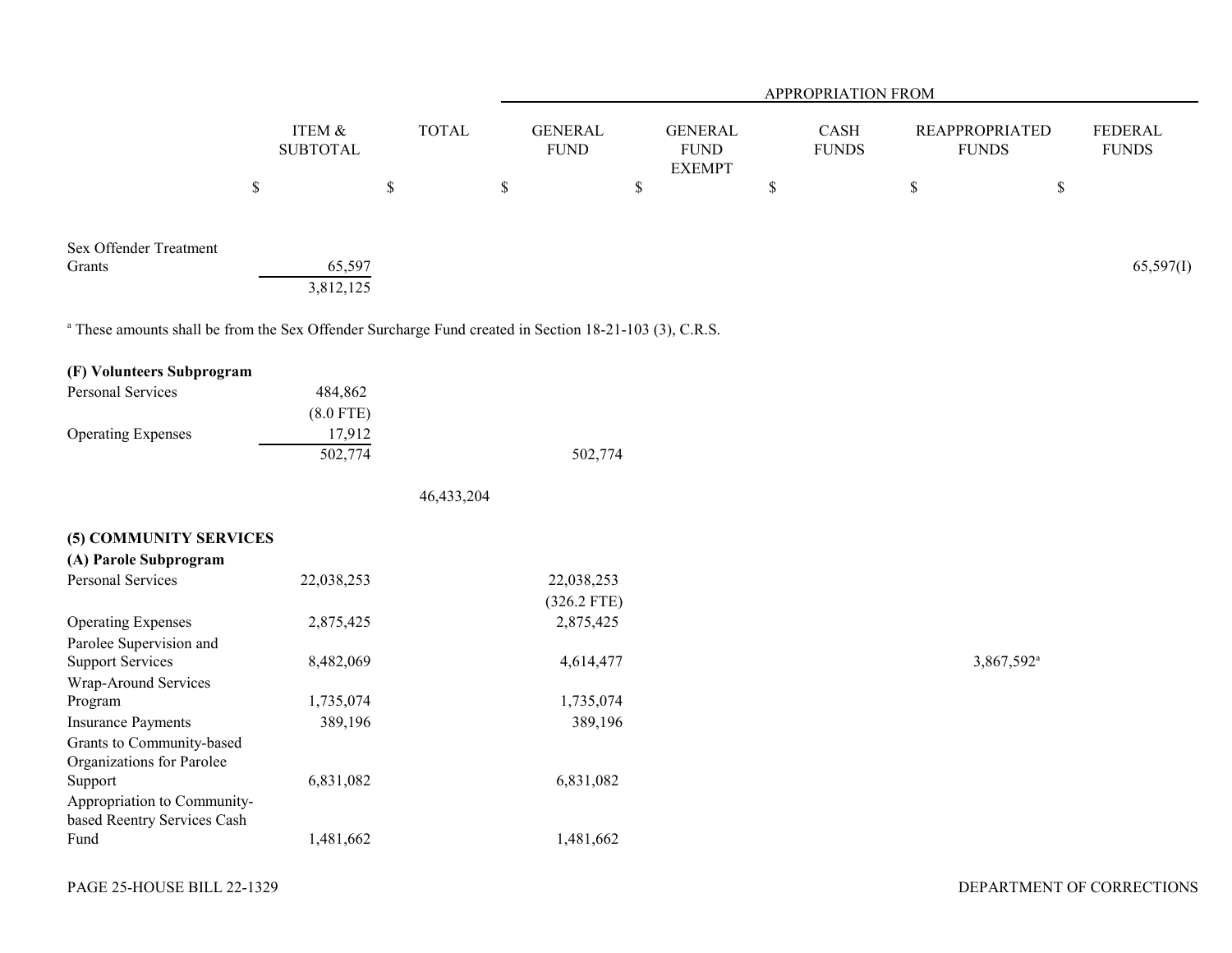|                                                                                                                   |                           |              |                               |                                                | APPROPRIATION FROM   |                                       |                                |
|-------------------------------------------------------------------------------------------------------------------|---------------------------|--------------|-------------------------------|------------------------------------------------|----------------------|---------------------------------------|--------------------------------|
|                                                                                                                   | ITEM &<br><b>SUBTOTAL</b> | <b>TOTAL</b> | <b>GENERAL</b><br><b>FUND</b> | <b>GENERAL</b><br><b>FUND</b><br><b>EXEMPT</b> | CASH<br><b>FUNDS</b> | <b>REAPPROPRIATED</b><br><b>FUNDS</b> | <b>FEDERAL</b><br><b>FUNDS</b> |
| \$                                                                                                                |                           | $\mathbb S$  | $\mathbb S$                   | \$                                             | $\$$                 | $\mathbb{S}$<br>$\$$                  |                                |
| Sex Offender Treatment                                                                                            |                           |              |                               |                                                |                      |                                       |                                |
| Grants                                                                                                            | 65,597<br>3,812,125       |              |                               |                                                |                      |                                       | 65,597(I)                      |
| <sup>a</sup> These amounts shall be from the Sex Offender Surcharge Fund created in Section 18-21-103 (3), C.R.S. |                           |              |                               |                                                |                      |                                       |                                |
| (F) Volunteers Subprogram                                                                                         |                           |              |                               |                                                |                      |                                       |                                |
| Personal Services                                                                                                 | 484,862<br>$(8.0$ FTE)    |              |                               |                                                |                      |                                       |                                |
| <b>Operating Expenses</b>                                                                                         | 17,912<br>502,774         |              | 502,774                       |                                                |                      |                                       |                                |
|                                                                                                                   |                           | 46,433,204   |                               |                                                |                      |                                       |                                |
| (5) COMMUNITY SERVICES                                                                                            |                           |              |                               |                                                |                      |                                       |                                |
| (A) Parole Subprogram                                                                                             |                           |              |                               |                                                |                      |                                       |                                |
| Personal Services                                                                                                 | 22,038,253                |              | 22,038,253<br>$(326.2$ FTE)   |                                                |                      |                                       |                                |
| <b>Operating Expenses</b>                                                                                         | 2,875,425                 |              | 2,875,425                     |                                                |                      |                                       |                                |
| Parolee Supervision and                                                                                           |                           |              |                               |                                                |                      |                                       |                                |
| <b>Support Services</b>                                                                                           | 8,482,069                 |              | 4,614,477                     |                                                |                      | 3,867,592 <sup>a</sup>                |                                |
| Wrap-Around Services                                                                                              |                           |              |                               |                                                |                      |                                       |                                |
| Program                                                                                                           | 1,735,074                 |              | 1,735,074                     |                                                |                      |                                       |                                |
| <b>Insurance Payments</b><br>Grants to Community-based<br>Organizations for Parolee                               | 389,196                   |              | 389,196                       |                                                |                      |                                       |                                |
| Support<br>Appropriation to Community-<br>based Reentry Services Cash                                             | 6,831,082                 |              | 6,831,082                     |                                                |                      |                                       |                                |
| Fund                                                                                                              | 1,481,662                 |              | 1,481,662                     |                                                |                      |                                       |                                |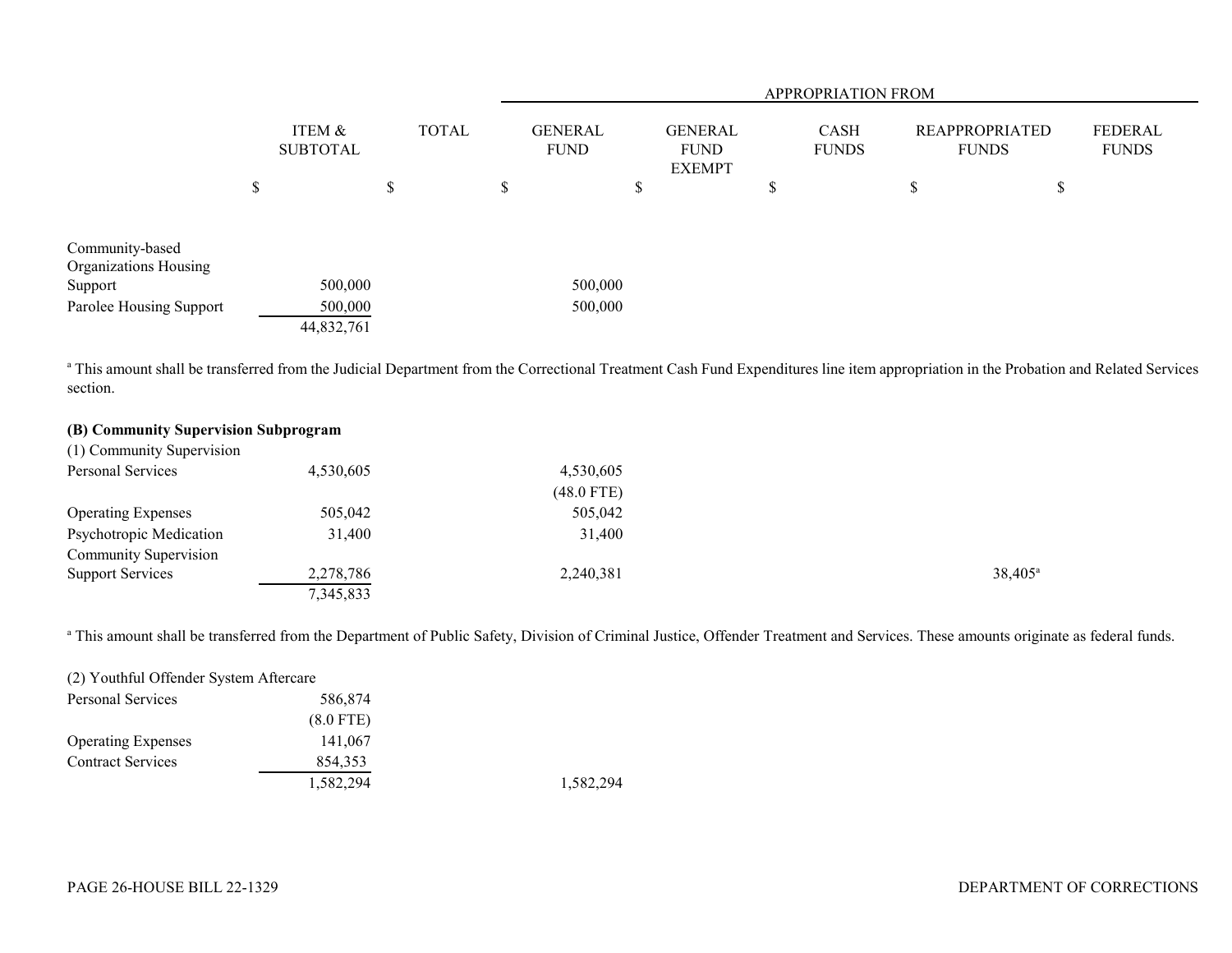|                         |        | ITEM &<br><b>SUBTOTAL</b> |    |              |    | APPROPRIATION FROM            |                                                |    |                             |                                       |    |                         |  |
|-------------------------|--------|---------------------------|----|--------------|----|-------------------------------|------------------------------------------------|----|-----------------------------|---------------------------------------|----|-------------------------|--|
|                         |        |                           |    | <b>TOTAL</b> |    | <b>GENERAL</b><br><b>FUND</b> | <b>GENERAL</b><br><b>FUND</b><br><b>EXEMPT</b> |    | <b>CASH</b><br><b>FUNDS</b> | <b>REAPPROPRIATED</b><br><b>FUNDS</b> |    | FEDERAL<br><b>FUNDS</b> |  |
|                         | ሖ<br>D |                           | \$ |              | \$ | D.                            |                                                | ۰D |                             | D                                     | ۰D |                         |  |
|                         |        |                           |    |              |    |                               |                                                |    |                             |                                       |    |                         |  |
| Community-based         |        |                           |    |              |    |                               |                                                |    |                             |                                       |    |                         |  |
| Organizations Housing   |        |                           |    |              |    |                               |                                                |    |                             |                                       |    |                         |  |
| Support                 |        | 500,000                   |    |              |    | 500,000                       |                                                |    |                             |                                       |    |                         |  |
| Parolee Housing Support |        | 500,000                   |    |              |    | 500,000                       |                                                |    |                             |                                       |    |                         |  |
|                         |        | 44,832,761                |    |              |    |                               |                                                |    |                             |                                       |    |                         |  |

<sup>a</sup> This amount shall be transferred from the Judicial Department from the Correctional Treatment Cash Fund Expenditures line item appropriation in the Probation and Related Services section.

# **(B) Community Supervision Subprogram**

| (1) Community Supervision |           |              |                  |
|---------------------------|-----------|--------------|------------------|
| Personal Services         | 4,530,605 | 4,530,605    |                  |
|                           |           | $(48.0$ FTE) |                  |
| <b>Operating Expenses</b> | 505,042   | 505,042      |                  |
| Psychotropic Medication   | 31,400    | 31,400       |                  |
| Community Supervision     |           |              |                  |
| <b>Support Services</b>   | 2,278,786 | 2,240,381    | $38,405^{\circ}$ |
|                           | 7,345,833 |              |                  |

<sup>a</sup> This amount shall be transferred from the Department of Public Safety, Division of Criminal Justice, Offender Treatment and Services. These amounts originate as federal funds.

| (2) Youthful Offender System Aftercare |             |  |
|----------------------------------------|-------------|--|
| Personal Services                      | 586,874     |  |
|                                        | $(8.0$ FTE) |  |
| <b>Operating Expenses</b>              | 141,067     |  |
| <b>Contract Services</b>               | 854,353     |  |
|                                        | 1,582,294   |  |

1,582,294 1,582,294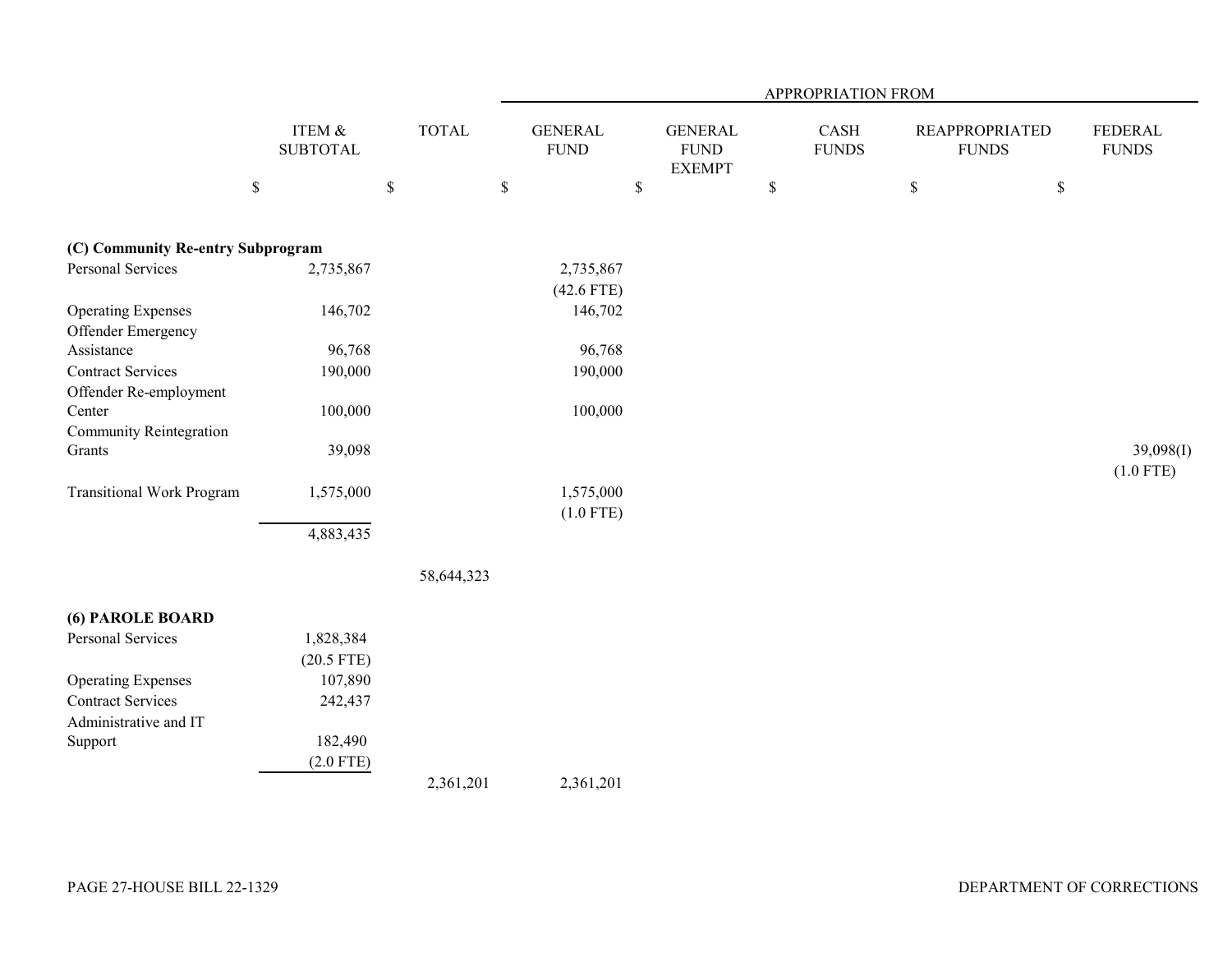|                                                 |                           |              |                               |                                                | APPROPRIATION FROM   |                                       |                                |
|-------------------------------------------------|---------------------------|--------------|-------------------------------|------------------------------------------------|----------------------|---------------------------------------|--------------------------------|
|                                                 | ITEM &<br><b>SUBTOTAL</b> | <b>TOTAL</b> | <b>GENERAL</b><br><b>FUND</b> | <b>GENERAL</b><br><b>FUND</b><br><b>EXEMPT</b> | CASH<br><b>FUNDS</b> | <b>REAPPROPRIATED</b><br><b>FUNDS</b> | <b>FEDERAL</b><br><b>FUNDS</b> |
|                                                 | $\$$                      | $\mathbb S$  | $\mathbb S$                   | \$                                             | $\mathbb{S}$         | $\mathbb S$<br>$\$$                   |                                |
| (C) Community Re-entry Subprogram               |                           |              |                               |                                                |                      |                                       |                                |
| Personal Services                               | 2,735,867                 |              | 2,735,867<br>$(42.6$ FTE)     |                                                |                      |                                       |                                |
| <b>Operating Expenses</b><br>Offender Emergency | 146,702                   |              | 146,702                       |                                                |                      |                                       |                                |
| Assistance                                      | 96,768                    |              | 96,768                        |                                                |                      |                                       |                                |
| <b>Contract Services</b>                        | 190,000                   |              | 190,000                       |                                                |                      |                                       |                                |
| Offender Re-employment<br>Center                | 100,000                   |              | 100,000                       |                                                |                      |                                       |                                |
| <b>Community Reintegration</b><br>Grants        | 39,098                    |              |                               |                                                |                      |                                       | 39,098(I)<br>$(1.0$ FTE)       |
| <b>Transitional Work Program</b>                | 1,575,000                 |              | 1,575,000<br>$(1.0$ FTE)      |                                                |                      |                                       |                                |
|                                                 | 4,883,435                 |              |                               |                                                |                      |                                       |                                |
|                                                 |                           | 58,644,323   |                               |                                                |                      |                                       |                                |
| (6) PAROLE BOARD                                |                           |              |                               |                                                |                      |                                       |                                |
| Personal Services                               | 1,828,384                 |              |                               |                                                |                      |                                       |                                |
|                                                 | $(20.5$ FTE)              |              |                               |                                                |                      |                                       |                                |
| <b>Operating Expenses</b>                       | 107,890                   |              |                               |                                                |                      |                                       |                                |
| <b>Contract Services</b>                        | 242,437                   |              |                               |                                                |                      |                                       |                                |
| Administrative and IT                           |                           |              |                               |                                                |                      |                                       |                                |
| Support                                         | 182,490                   |              |                               |                                                |                      |                                       |                                |
|                                                 | $(2.0$ FTE)               |              |                               |                                                |                      |                                       |                                |
|                                                 |                           | 2,361,201    | 2,361,201                     |                                                |                      |                                       |                                |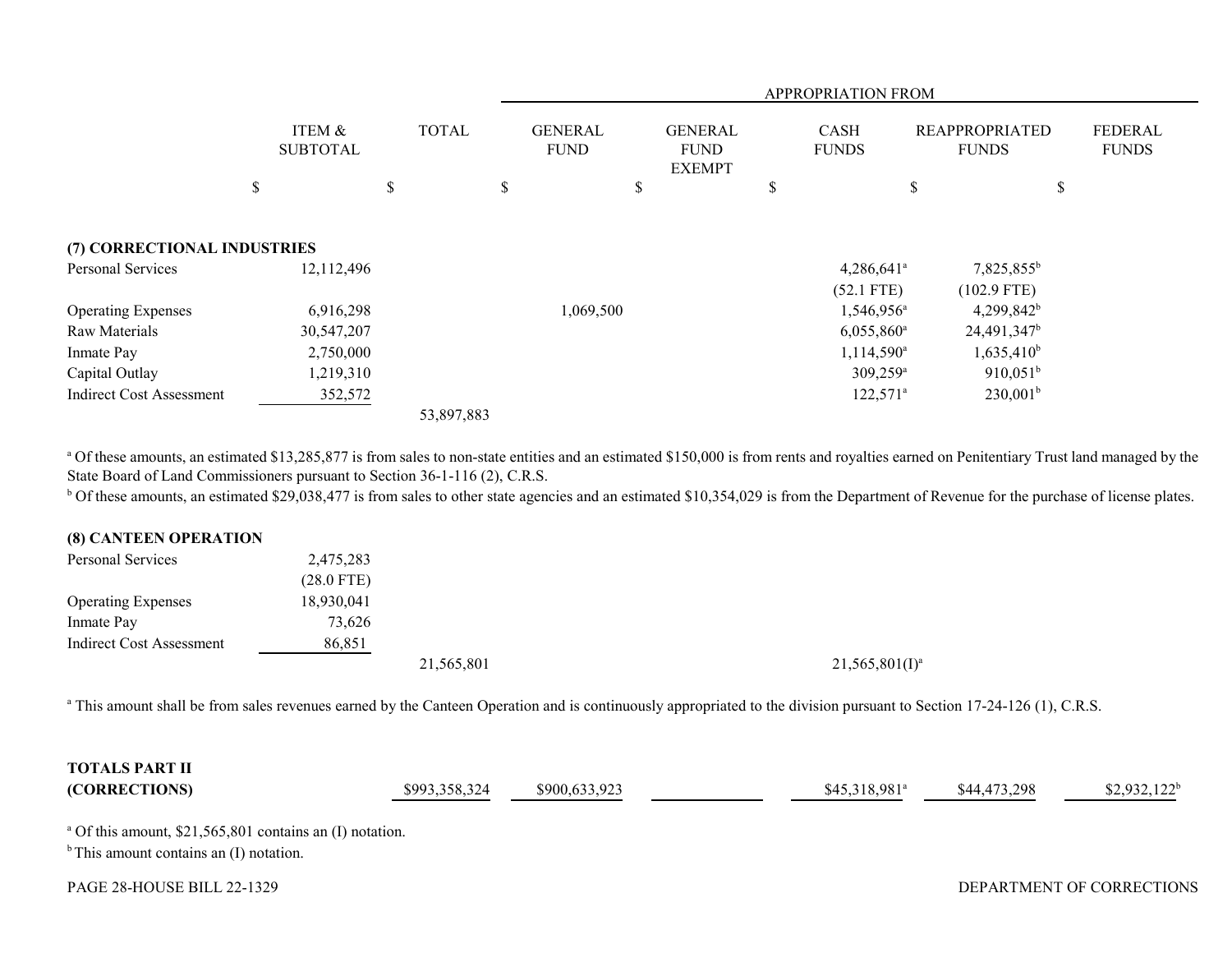|                                 |                           |              |   | APPROPRIATION FROM            |    |                                                |    |                             |    |                                       |                                |
|---------------------------------|---------------------------|--------------|---|-------------------------------|----|------------------------------------------------|----|-----------------------------|----|---------------------------------------|--------------------------------|
|                                 | ITEM &<br><b>SUBTOTAL</b> | <b>TOTAL</b> |   | <b>GENERAL</b><br><b>FUND</b> |    | <b>GENERAL</b><br><b>FUND</b><br><b>EXEMPT</b> |    | <b>CASH</b><br><b>FUNDS</b> |    | <b>REAPPROPRIATED</b><br><b>FUNDS</b> | <b>FEDERAL</b><br><b>FUNDS</b> |
|                                 | \$                        | \$           | D |                               | \$ |                                                | \$ |                             | \$ | \$                                    |                                |
| (7) CORRECTIONAL INDUSTRIES     |                           |              |   |                               |    |                                                |    |                             |    |                                       |                                |
| Personal Services               | 12,112,496                |              |   |                               |    |                                                |    | $4,286,641$ <sup>a</sup>    |    | $7,825,855^b$                         |                                |
|                                 |                           |              |   |                               |    |                                                |    | $(52.1$ FTE)                |    | $(102.9$ FTE)                         |                                |
| <b>Operating Expenses</b>       | 6,916,298                 |              |   | 1,069,500                     |    |                                                |    | 1,546,956 <sup>a</sup>      |    | $4,299,842^b$                         |                                |
| Raw Materials                   | 30,547,207                |              |   |                               |    |                                                |    | $6,055,860$ <sup>a</sup>    |    | 24,491,347 <sup>b</sup>               |                                |
| Inmate Pay                      | 2,750,000                 |              |   |                               |    |                                                |    | 1,114,590 <sup>a</sup>      |    | $1,635,410^b$                         |                                |
| Capital Outlay                  | 1,219,310                 |              |   |                               |    |                                                |    | $309,259^{\rm a}$           |    | $910,051^b$                           |                                |
| <b>Indirect Cost Assessment</b> | 352,572                   |              |   |                               |    |                                                |    | $122,571^a$                 |    | $230,001^b$                           |                                |
|                                 |                           | 53,897,883   |   |                               |    |                                                |    |                             |    |                                       |                                |

<sup>a</sup> Of these amounts, an estimated \$13,285,877 is from sales to non-state entities and an estimated \$150,000 is from rents and royalties earned on Penitentiary Trust land managed by the State Board of Land Commissioners pursuant to Section 36-1-116 (2), C.R.S.

<sup>b</sup> Of these amounts, an estimated \$29,038,477 is from sales to other state agencies and an estimated \$10,354,029 is from the Department of Revenue for the purchase of license plates.

## **(8) CANTEEN OPERATION**

| Personal Services               | 2,475,283    |            |                     |
|---------------------------------|--------------|------------|---------------------|
|                                 | $(28.0$ FTE) |            |                     |
| <b>Operating Expenses</b>       | 18,930,041   |            |                     |
| Inmate Pay                      | 73,626       |            |                     |
| <b>Indirect Cost Assessment</b> | 86,851       |            |                     |
|                                 |              | 21,565,801 | $21,565,801(I)^{3}$ |

<sup>a</sup> This amount shall be from sales revenues earned by the Canteen Operation and is continuously appropriated to the division pursuant to Section 17-24-126 (1), C.R.S.

| <b>TOTALS PART II</b> |               |               |                 |              |                |
|-----------------------|---------------|---------------|-----------------|--------------|----------------|
| (CORRECTIONS)         | \$993,358,324 | \$900,633,923 | $$45,318,981^a$ | \$44,473,298 | $$2,932,122^b$ |

a Of this amount, \$21,565,801 contains an (I) notation.

 $<sup>b</sup>$  This amount contains an (I) notation.</sup>